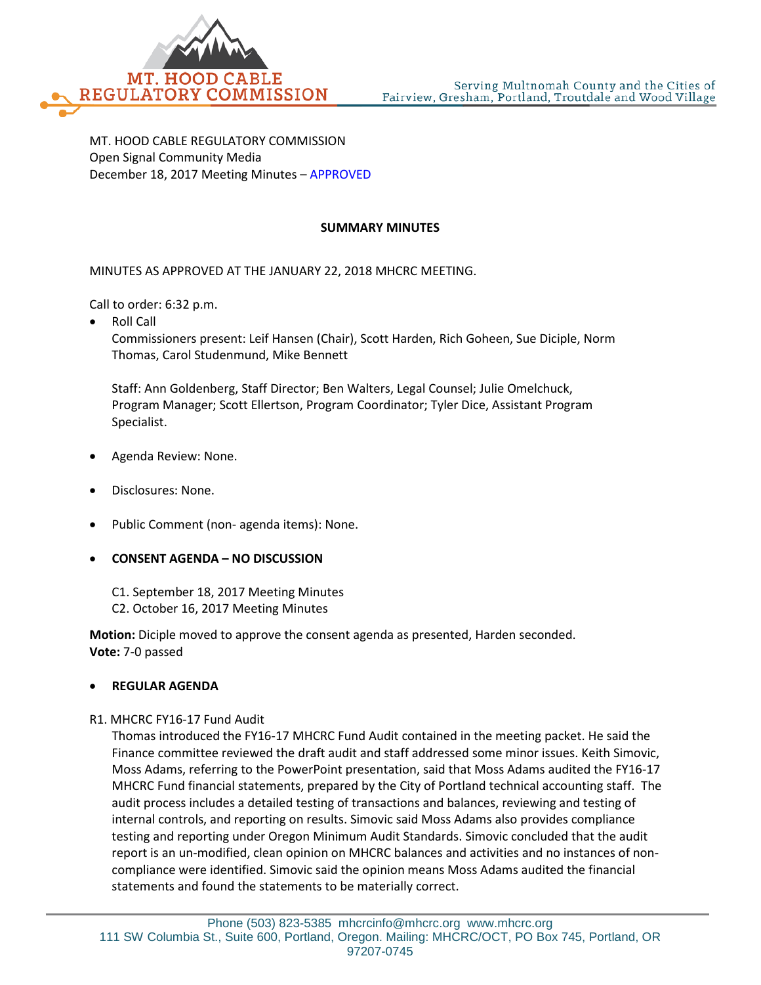

MT. HOOD CABLE REGULATORY COMMISSION Open Signal Community Media December 18, 2017 Meeting Minutes – APPROVED

## **SUMMARY MINUTES**

MINUTES AS APPROVED AT THE JANUARY 22, 2018 MHCRC MEETING.

Call to order: 6:32 p.m.

• Roll Call

Commissioners present: Leif Hansen (Chair), Scott Harden, Rich Goheen, Sue Diciple, Norm Thomas, Carol Studenmund, Mike Bennett

Staff: Ann Goldenberg, Staff Director; Ben Walters, Legal Counsel; Julie Omelchuck, Program Manager; Scott Ellertson, Program Coordinator; Tyler Dice, Assistant Program Specialist.

- Agenda Review: None.
- Disclosures: None.
- Public Comment (non- agenda items): None.
- **CONSENT AGENDA – NO DISCUSSION**
	- C1. September 18, 2017 Meeting Minutes
	- C2. October 16, 2017 Meeting Minutes

**Motion:** Diciple moved to approve the consent agenda as presented, Harden seconded. **Vote:** 7-0 passed

## • **REGULAR AGENDA**

## R1. MHCRC FY16-17 Fund Audit

Thomas introduced the FY16-17 MHCRC Fund Audit contained in the meeting packet. He said the Finance committee reviewed the draft audit and staff addressed some minor issues. Keith Simovic, Moss Adams, referring to the PowerPoint presentation, said that Moss Adams audited the FY16-17 MHCRC Fund financial statements, prepared by the City of Portland technical accounting staff. The audit process includes a detailed testing of transactions and balances, reviewing and testing of internal controls, and reporting on results. Simovic said Moss Adams also provides compliance testing and reporting under Oregon Minimum Audit Standards. Simovic concluded that the audit report is an un-modified, clean opinion on MHCRC balances and activities and no instances of noncompliance were identified. Simovic said the opinion means Moss Adams audited the financial statements and found the statements to be materially correct.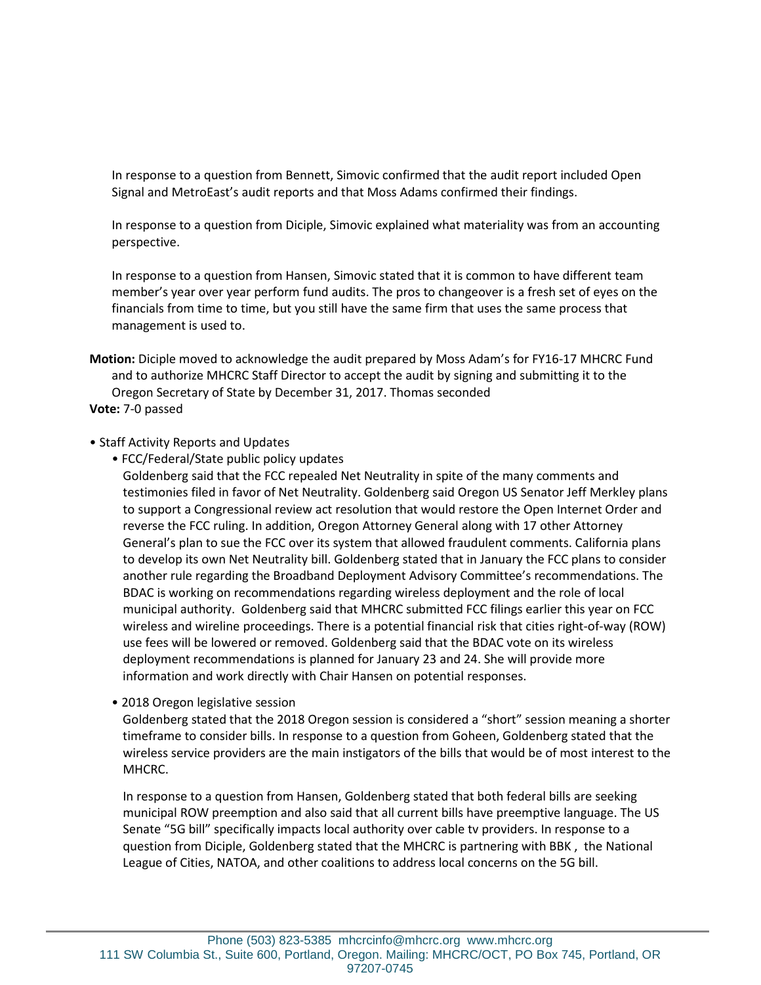In response to a question from Bennett, Simovic confirmed that the audit report included Open Signal and MetroEast's audit reports and that Moss Adams confirmed their findings.

In response to a question from Diciple, Simovic explained what materiality was from an accounting perspective.

In response to a question from Hansen, Simovic stated that it is common to have different team member's year over year perform fund audits. The pros to changeover is a fresh set of eyes on the financials from time to time, but you still have the same firm that uses the same process that management is used to.

**Motion:** Diciple moved to acknowledge the audit prepared by Moss Adam's for FY16-17 MHCRC Fund and to authorize MHCRC Staff Director to accept the audit by signing and submitting it to the Oregon Secretary of State by December 31, 2017. Thomas seconded

**Vote:** 7-0 passed

## • Staff Activity Reports and Updates

• FCC/Federal/State public policy updates

Goldenberg said that the FCC repealed Net Neutrality in spite of the many comments and testimonies filed in favor of Net Neutrality. Goldenberg said Oregon US Senator Jeff Merkley plans to support a Congressional review act resolution that would restore the Open Internet Order and reverse the FCC ruling. In addition, Oregon Attorney General along with 17 other Attorney General's plan to sue the FCC over its system that allowed fraudulent comments. California plans to develop its own Net Neutrality bill. Goldenberg stated that in January the FCC plans to consider another rule regarding the Broadband Deployment Advisory Committee's recommendations. The BDAC is working on recommendations regarding wireless deployment and the role of local municipal authority. Goldenberg said that MHCRC submitted FCC filings earlier this year on FCC wireless and wireline proceedings. There is a potential financial risk that cities right-of-way (ROW) use fees will be lowered or removed. Goldenberg said that the BDAC vote on its wireless deployment recommendations is planned for January 23 and 24. She will provide more information and work directly with Chair Hansen on potential responses.

• 2018 Oregon legislative session

Goldenberg stated that the 2018 Oregon session is considered a "short" session meaning a shorter timeframe to consider bills. In response to a question from Goheen, Goldenberg stated that the wireless service providers are the main instigators of the bills that would be of most interest to the MHCRC.

In response to a question from Hansen, Goldenberg stated that both federal bills are seeking municipal ROW preemption and also said that all current bills have preemptive language. The US Senate "5G bill" specifically impacts local authority over cable tv providers. In response to a question from Diciple, Goldenberg stated that the MHCRC is partnering with BBK , the National League of Cities, NATOA, and other coalitions to address local concerns on the 5G bill.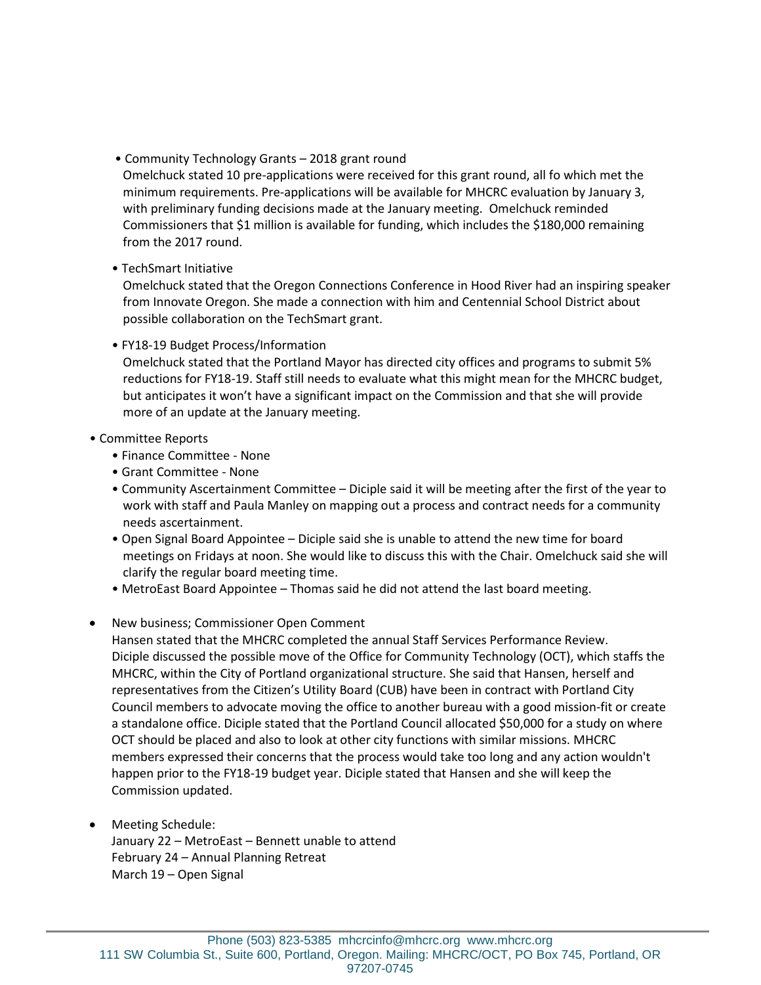• Community Technology Grants – 2018 grant round

Omelchuck stated 10 pre-applications were received for this grant round, all fo which met the minimum requirements. Pre-applications will be available for MHCRC evaluation by January 3, with preliminary funding decisions made at the January meeting. Omelchuck reminded Commissioners that \$1 million is available for funding, which includes the \$180,000 remaining from the 2017 round.

• TechSmart Initiative

Omelchuck stated that the Oregon Connections Conference in Hood River had an inspiring speaker from Innovate Oregon. She made a connection with him and Centennial School District about possible collaboration on the TechSmart grant.

• FY18-19 Budget Process/Information

Omelchuck stated that the Portland Mayor has directed city offices and programs to submit 5% reductions for FY18-19. Staff still needs to evaluate what this might mean for the MHCRC budget, but anticipates it won't have a significant impact on the Commission and that she will provide more of an update at the January meeting.

- Committee Reports
	- Finance Committee None
	- Grant Committee None
	- Community Ascertainment Committee Diciple said it will be meeting after the first of the year to work with staff and Paula Manley on mapping out a process and contract needs for a community needs ascertainment.
	- Open Signal Board Appointee Diciple said she is unable to attend the new time for board meetings on Fridays at noon. She would like to discuss this with the Chair. Omelchuck said she will clarify the regular board meeting time.
	- MetroEast Board Appointee Thomas said he did not attend the last board meeting.
- New business; Commissioner Open Comment

Hansen stated that the MHCRC completed the annual Staff Services Performance Review. Diciple discussed the possible move of the Office for Community Technology (OCT), which staffs the MHCRC, within the City of Portland organizational structure. She said that Hansen, herself and representatives from the Citizen's Utility Board (CUB) have been in contract with Portland City Council members to advocate moving the office to another bureau with a good mission-fit or create a standalone office. Diciple stated that the Portland Council allocated \$50,000 for a study on where OCT should be placed and also to look at other city functions with similar missions. MHCRC members expressed their concerns that the process would take too long and any action wouldn't happen prior to the FY18-19 budget year. Diciple stated that Hansen and she will keep the Commission updated.

• Meeting Schedule:

January 22 – MetroEast – Bennett unable to attend February 24 – Annual Planning Retreat March 19 – Open Signal